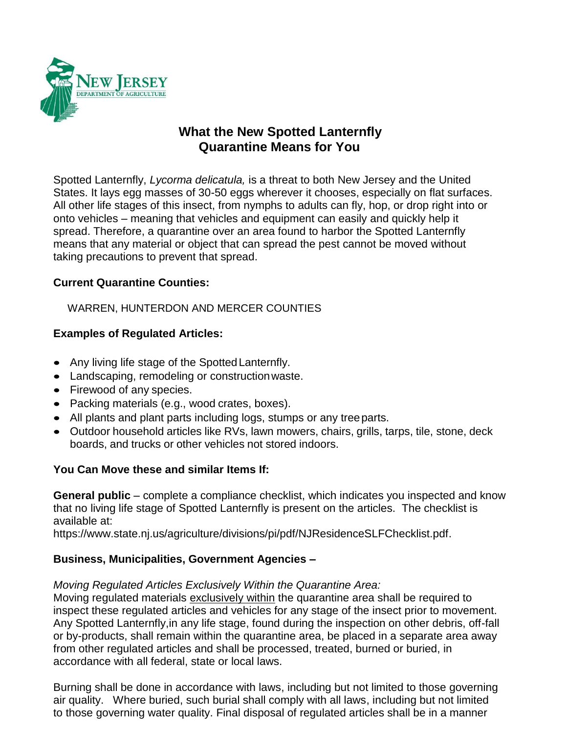

# **What the New Spotted Lanternfly Quarantine Means for You**

Spotted Lanternfly, *Lycorma delicatula,* is a threat to both New Jersey and the United States. It lays egg masses of 30-50 eggs wherever it chooses, especially on flat surfaces. All other life stages of this insect, from nymphs to adults can fly, hop, or drop right into or onto vehicles – meaning that vehicles and equipment can easily and quickly help it spread. Therefore, a quarantine over an area found to harbor the Spotted Lanternfly means that any material or object that can spread the pest cannot be moved without taking precautions to prevent that spread.

#### **Current Quarantine Counties:**

WARREN, HUNTERDON AND MERCER COUNTIES

#### **Examples of Regulated Articles:**

- Any living life stage of the Spotted Lanternfly.
- Landscaping, remodeling or constructionwaste.
- Firewood of any species.
- Packing materials (e.g., wood crates, boxes).
- All plants and plant parts including logs, stumps or any treeparts.
- Outdoor household articles like RVs, lawn mowers, chairs, grills, tarps, tile, stone, deck boards, and trucks or other vehicles not stored indoors.

#### **You Can Move these and similar Items If:**

**General public** – complete a compliance checklist, which indicates you inspected and know that no living life stage of Spotted Lanternfly is present on the articles. The checklist is available at:

https://www.state.nj.us/agriculture/divisions/pi/pdf/NJResidenceSLFChecklist.pdf.

#### **Business, Municipalities, Government Agencies –**

#### *Moving Regulated Articles Exclusively Within the Quarantine Area:*

Moving regulated materials exclusively within the quarantine area shall be required to inspect these regulated articles and vehicles for any stage of the insect prior to movement. Any Spotted Lanternfly,in any life stage, found during the inspection on other debris, off-fall or by-products, shall remain within the quarantine area, be placed in a separate area away from other regulated articles and shall be processed, treated, burned or buried, in accordance with all federal, state or local laws.

Burning shall be done in accordance with laws, including but not limited to those governing air quality. Where buried, such burial shall comply with all laws, including but not limited to those governing water quality. Final disposal of regulated articles shall be in a manner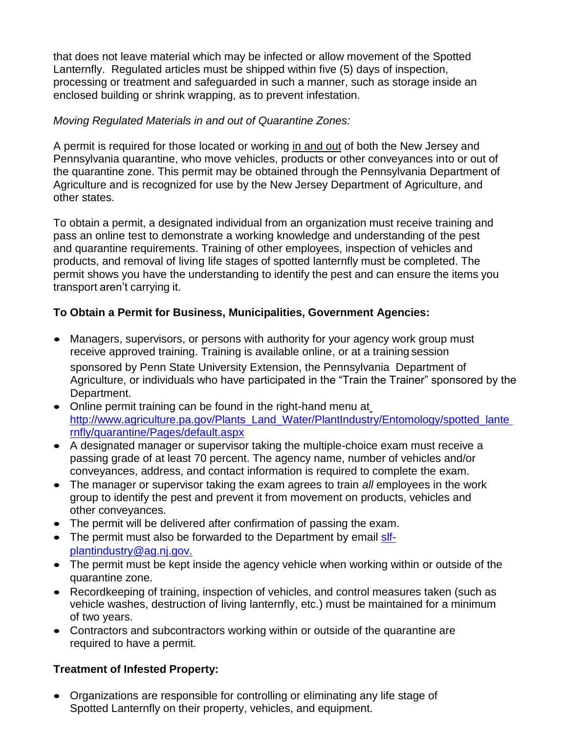that does not leave material which may be infected or allow movement of the Spotted Lanternfly. Regulated articles must be shipped within five (5) days of inspection, processing or treatment and safeguarded in such a manner, such as storage inside an enclosed building or shrink wrapping, as to prevent infestation.

#### *Moving Regulated Materials in and out of Quarantine Zones:*

A permit is required for those located or working in and out of both the New Jersey and Pennsylvania quarantine, who move vehicles, products or other conveyances into or out of the quarantine zone. This permit may be obtained through the Pennsylvania Department of Agriculture and is recognized for use by the New Jersey Department of Agriculture, and other states.

To obtain a permit, a designated individual from an organization must receive training and pass an online test to demonstrate a working knowledge and understanding of the pest and quarantine requirements. Training of other employees, inspection of vehicles and products, and removal of living life stages of spotted lanternfly must be completed. The permit shows you have the understanding to identify the pest and can ensure the items you transport aren't carrying it.

#### **To Obtain a Permit for Business, Municipalities, Government Agencies:**

- Managers, supervisors, or persons with authority for your agency work group must receive approved training. Training is available online, or at a training session sponsored by Penn State University Extension, the Pennsylvania Department of Agriculture, or individuals who have participated in the "Train the Trainer" sponsored by the Department.
- Online permit training can be found in the right-hand menu a[t](http://www.agriculture.pa.gov/Plants_Land_Water/PlantIndustry/Entomology/spotted_lanternfly/quarantine/Pages/default.aspx) [http://www.agriculture.pa.gov/Plants\\_Land\\_Water/PlantIndustry/Entomology/spotted\\_lante](http://www.agriculture.pa.gov/Plants_Land_Water/PlantIndustry/Entomology/spotted_lanternfly/quarantine/Pages/default.aspx) [rnfly/quarantine/Pages/default.aspx](http://www.agriculture.pa.gov/Plants_Land_Water/PlantIndustry/Entomology/spotted_lanternfly/quarantine/Pages/default.aspx)
- A designated manager or supervisor taking the multiple-choice exam must receive a passing grade of at least 70 percent. The agency name, number of vehicles and/or conveyances, address, and contact information is required to complete the exam.
- The manager or supervisor taking the exam agrees to train *all* employees in the work group to identify the pest and prevent it from movement on products, vehicles and other conveyances.
- The permit will be delivered after confirmation of passing the exam.
- The permit must also be forwarded to the Department by email [slf](mailto:slf-plantindustry@ag.nj.gov)[plantindustry@ag.nj.gov.](mailto:slf-plantindustry@ag.nj.gov)
- The permit must be kept inside the agency vehicle when working within or outside of the quarantine zone.
- Recordkeeping of training, inspection of vehicles, and control measures taken (such as vehicle washes, destruction of living lanternfly, etc.) must be maintained for a minimum of two years.
- Contractors and subcontractors working within or outside of the quarantine are required to have a permit.

### **Treatment of Infested Property:**

• Organizations are responsible for controlling or eliminating any life stage of Spotted Lanternfly on their property, vehicles, and equipment.